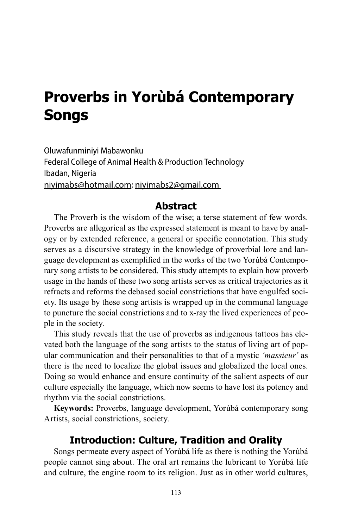# **Proverbs in Yorùbá Contemporary Songs**

Oluwafunminiyi Mabawonku Federal College of Animal Health & Production Technology Ibadan, Nigeria niyimabs@hotmail.com; niyimabs2@gmail.com

#### **Abstract**

The Proverb is the wisdom of the wise; a terse statement of few words. Proverbs are allegorical as the expressed statement is meant to have by analogy or by extended reference, a general or specific connotation. This study serves as a discursive strategy in the knowledge of proverbial lore and language development as exemplified in the works of the two Yorùbá Contemporary song artists to be considered. This study attempts to explain how proverb usage in the hands of these two song artists serves as critical trajectories as it refracts and reforms the debased social constrictions that have engulfed society. Its usage by these song artists is wrapped up in the communal language to puncture the social constrictions and to x-ray the lived experiences of people in the society.

This study reveals that the use of proverbs as indigenous tattoos has elevated both the language of the song artists to the status of living art of popular communication and their personalities to that of a mystic *'massieur'* as there is the need to localize the global issues and globalized the local ones. Doing so would enhance and ensure continuity of the salient aspects of our culture especially the language, which now seems to have lost its potency and rhythm via the social constrictions.

**Keywords:** Proverbs, language development, Yorùbá contemporary song Artists, social constrictions, society.

#### **Introduction: Culture, Tradition and Orality**

Songs permeate every aspect of Yorùbá life as there is nothing the Yorùbá people cannot sing about. The oral art remains the lubricant to Yorùbá life and culture, the engine room to its religion. Just as in other world cultures,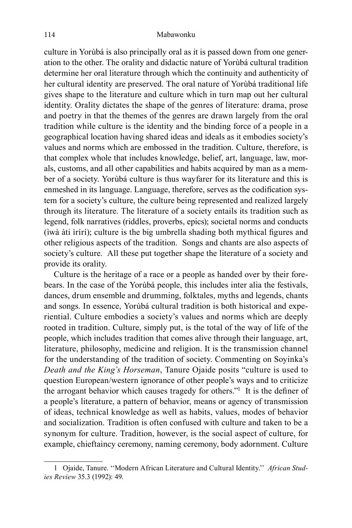culture in Yorùbá is also principally oral as it is passed down from one generation to the other. The orality and didactic nature of Yorùbá cultural tradition determine her oral literature through which the continuity and authenticity of her cultural identity are preserved. The oral nature of Yorùbá traditional life gives shape to the literature and culture which in turn map out her cultural identity. Orality dictates the shape of the genres of literature: drama, prose and poetry in that the themes of the genres are drawn largely from the oral tradition while culture is the identity and the binding force of a people in a geographical location having shared ideas and ideals as it embodies society's values and norms which are embossed in the tradition. Culture, therefore, is that complex whole that includes knowledge, belief, art, language, law, morals, customs, and all other capabilities and habits acquired by man as a member of a society. Yorùbá culture is thus wayfarer for its literature and this is enmeshed in its language. Language, therefore, serves as the codification system for a society's culture, the culture being represented and realized largely through its literature. The literature of a society entails its tradition such as legend, folk narratives (riddles, proverbs, epics); societal norms and conducts (ìwà àti ìrírí); culture is the big umbrella shading both mythical figures and other religious aspects of the tradition. Songs and chants are also aspects of society's culture. All these put together shape the literature of a society and provide its orality.

Culture is the heritage of a race or a people as handed over by their forebears. In the case of the Yorùbá people, this includes inter alia the festivals, dances, drum ensemble and drumming, folktales, myths and legends, chants and songs. In essence, Yorùbá cultural tradition is both historical and experiential. Culture embodies a society's values and norms which are deeply rooted in tradition. Culture, simply put, is the total of the way of life of the people, which includes tradition that comes alive through their language, art, literature, philosophy, medicine and religion. It is the transmission channel for the understanding of the tradition of society. Commenting on Soyinka's *Death and the King's Horseman*, Tanure Ojaide posits "culture is used to question European/western ignorance of other people's ways and to criticize the arrogant behavior which causes tragedy for others."<sup>1</sup>It is the definer of a people's literature, a pattern of behavior, means or agency of transmission of ideas, technical knowledge as well as habits, values, modes of behavior and socialization. Tradition is often confused with culture and taken to be a synonym for culture. Tradition, however, is the social aspect of culture, for example, chieftaincy ceremony, naming ceremony, body adornment. Culture

<sup>1</sup> Ojaide, Tanure. ''Modern African Literature and Cultural Identity.'' *African Studies Review* 35.3 (1992): 49.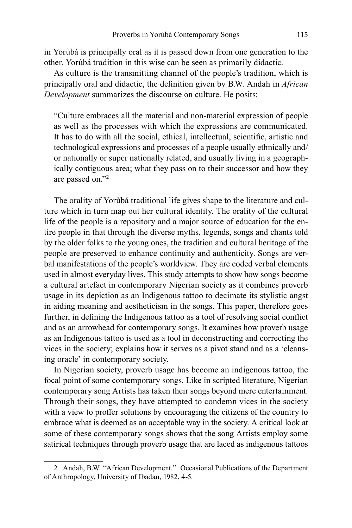in Yorùbá is principally oral as it is passed down from one generation to the other. Yorùbá tradition in this wise can be seen as primarily didactic.

As culture is the transmitting channel of the people's tradition, which is principally oral and didactic, the definition given by B.W. Andah in *African Development* summarizes the discourse on culture. He posits:

"Culture embraces all the material and non-material expression of people as well as the processes with which the expressions are communicated. It has to do with all the social, ethical, intellectual, scientific, artistic and technological expressions and processes of a people usually ethnically and/ or nationally or super nationally related, and usually living in a geographically contiguous area; what they pass on to their successor and how they are passed on."2

The orality of Yorùbá traditional life gives shape to the literature and culture which in turn map out her cultural identity. The orality of the cultural life of the people is a repository and a major source of education for the entire people in that through the diverse myths, legends, songs and chants told by the older folks to the young ones, the tradition and cultural heritage of the people are preserved to enhance continuity and authenticity. Songs are verbal manifestations of the people's worldview. They are coded verbal elements used in almost everyday lives. This study attempts to show how songs become a cultural artefact in contemporary Nigerian society as it combines proverb usage in its depiction as an Indigenous tattoo to decimate its stylistic angst in aiding meaning and aestheticism in the songs. This paper, therefore goes further, in defining the Indigenous tattoo as a tool of resolving social conflict and as an arrowhead for contemporary songs. It examines how proverb usage as an Indigenous tattoo is used as a tool in deconstructing and correcting the vices in the society; explains how it serves as a pivot stand and as a 'cleansing oracle' in contemporary society.

In Nigerian society, proverb usage has become an indigenous tattoo, the focal point of some contemporary songs. Like in scripted literature, Nigerian contemporary song Artists has taken their songs beyond mere entertainment. Through their songs, they have attempted to condemn vices in the society with a view to proffer solutions by encouraging the citizens of the country to embrace what is deemed as an acceptable way in the society. A critical look at some of these contemporary songs shows that the song Artists employ some satirical techniques through proverb usage that are laced as indigenous tattoos

<sup>2</sup> Andah, B.W. ''African Development.'' Occasional Publications of the Department of Anthropology, University of Ibadan, 1982, 4-5.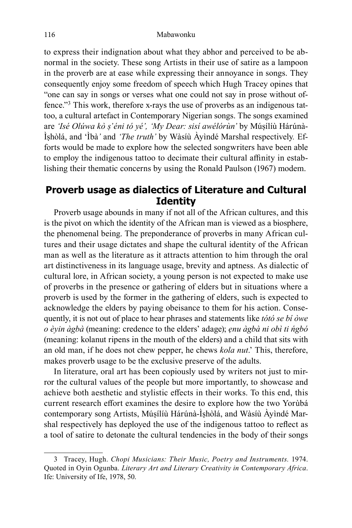to express their indignation about what they abhor and perceived to be abnormal in the society. These song Artists in their use of satire as a lampoon in the proverb are at ease while expressing their annoyance in songs. They consequently enjoy some freedom of speech which Hugh Tracey opines that "one can say in songs or verses what one could not say in prose without offence."3 This work, therefore x-rays the use of proverbs as an indigenous tattoo, a cultural artefact in Contemporary Nigerian songs. The songs examined are *'Isé Olúwa kò ṣ'éni tó yé', 'My Dear: sisí awélórùn'* by Múṣílíù Hárúnà-Ìṣhòlá, and 'Ìbà*'* and *'The truth'* by Wàsíù Àyìndé Marshal respectively*.* Efforts would be made to explore how the selected songwriters have been able to employ the indigenous tattoo to decimate their cultural affinity in establishing their thematic concerns by using the Ronald Paulson (1967) modem.

# **Proverb usage as dialectics of Literature and Cultural Identity**

Proverb usage abounds in many if not all of the African cultures, and this is the pivot on which the identity of the African man is viewed as a biosphere, the phenomenal being. The preponderance of proverbs in many African cultures and their usage dictates and shape the cultural identity of the African man as well as the literature as it attracts attention to him through the oral art distinctiveness in its language usage, brevity and aptness. As dialectic of cultural lore, in African society, a young person is not expected to make use of proverbs in the presence or gathering of elders but in situations where a proverb is used by the former in the gathering of elders, such is expected to acknowledge the elders by paying obeisance to them for his action. Consequently, it is not out of place to hear phrases and statements like *tótó se bí òwe o èyin àgbà* (meaning: credence to the elders' adage); *ẹnu àgbà ni obì ti ńgbó*  (meaning: kolanut ripens in the mouth of the elders) and a child that sits with an old man, if he does not chew pepper, he chews *kola nut*.' This, therefore, makes proverb usage to be the exclusive preserve of the adults.

In literature, oral art has been copiously used by writers not just to mirror the cultural values of the people but more importantly, to showcase and achieve both aesthetic and stylistic effects in their works. To this end, this current research effort examines the desire to explore how the two Yorùbá contemporary song Artists, Múṣílíù Hárúnà-Ìṣhòlá, and Wàsíù Àyìndé Marshal respectively has deployed the use of the indigenous tattoo to reflect as a tool of satire to detonate the cultural tendencies in the body of their songs

<sup>3</sup> Tracey, Hugh. *Chopi Musicians: Their Music, Poetry and Instruments.* 1974. Quoted in Oyin Ogunba. *Literary Art and Literary Creativity in Contemporary Africa*. Ife: University of Ife, 1978, 50.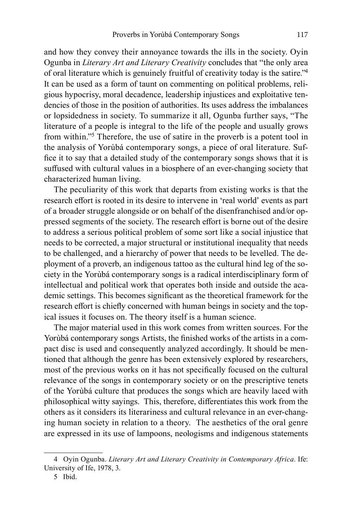and how they convey their annoyance towards the ills in the society. Oyin Ogunba in *Literary Art and Literary Creativity* concludes that "the only area of oral literature which is genuinely fruitful of creativity today is the satire."<sup>4</sup> It can be used as a form of taunt on commenting on political problems, religious hypocrisy, moral decadence, leadership injustices and exploitative tendencies of those in the position of authorities. Its uses address the imbalances or lopsidedness in society. To summarize it all, Ogunba further says, "The literature of a people is integral to the life of the people and usually grows from within."5 Therefore, the use of satire in the proverb is a potent tool in the analysis of Yorùbá contemporary songs, a piece of oral literature. Suffice it to say that a detailed study of the contemporary songs shows that it is suffused with cultural values in a biosphere of an ever-changing society that characterized human living.

The peculiarity of this work that departs from existing works is that the research effort is rooted in its desire to intervene in 'real world' events as part of a broader struggle alongside or on behalf of the disenfranchised and/or oppressed segments of the society. The research effort is borne out of the desire to address a serious political problem of some sort like a social injustice that needs to be corrected, a major structural or institutional inequality that needs to be challenged, and a hierarchy of power that needs to be levelled. The deployment of a proverb, an indigenous tattoo as the cultural hind leg of the society in the Yorùbá contemporary songs is a radical interdisciplinary form of intellectual and political work that operates both inside and outside the academic settings. This becomes significant as the theoretical framework for the research effort is chiefly concerned with human beings in society and the topical issues it focuses on. The theory itself is a human science.

The major material used in this work comes from written sources. For the Yorùbá contemporary songs Artists, the finished works of the artists in a compact disc is used and consequently analyzed accordingly. It should be mentioned that although the genre has been extensively explored by researchers, most of the previous works on it has not specifically focused on the cultural relevance of the songs in contemporary society or on the prescriptive tenets of the Yorùbá culture that produces the songs which are heavily laced with philosophical witty sayings. This, therefore, differentiates this work from the others as it considers its literariness and cultural relevance in an ever-changing human society in relation to a theory. The aesthetics of the oral genre are expressed in its use of lampoons, neologisms and indigenous statements

<sup>4</sup> Oyin Ogunba. *Literary Art and Literary Creativity in Contemporary Africa*. Ife: University of Ife, 1978, 3.

<sup>5</sup> Ibid.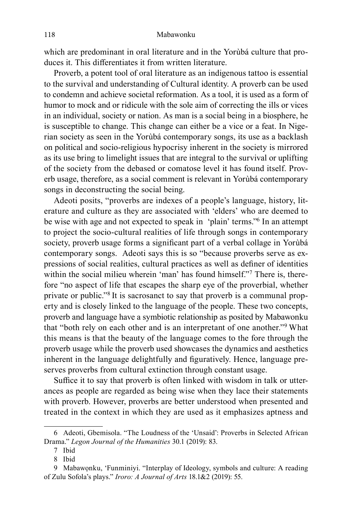which are predominant in oral literature and in the Yorùbá culture that produces it. This differentiates it from written literature.

Proverb, a potent tool of oral literature as an indigenous tattoo is essential to the survival and understanding of Cultural identity. A proverb can be used to condemn and achieve societal reformation. As a tool, it is used as a form of humor to mock and or ridicule with the sole aim of correcting the ills or vices in an individual, society or nation. As man is a social being in a biosphere, he is susceptible to change. This change can either be a vice or a feat. In Nigerian society as seen in the Yorùbá contemporary songs, its use as a backlash on political and socio-religious hypocrisy inherent in the society is mirrored as its use bring to limelight issues that are integral to the survival or uplifting of the society from the debased or comatose level it has found itself. Proverb usage, therefore, as a social comment is relevant in Yorùbá contemporary songs in deconstructing the social being.

Adeoti posits, "proverbs are indexes of a people's language, history, literature and culture as they are associated with 'elders' who are deemed to be wise with age and not expected to speak in 'plain' terms."6 In an attempt to project the socio-cultural realities of life through songs in contemporary society, proverb usage forms a significant part of a verbal collage in Yorùbá contemporary songs. Adeoti says this is so "because proverbs serve as expressions of social realities, cultural practices as well as definer of identities within the social milieu wherein 'man' has found himself."<sup>7</sup> There is, therefore "no aspect of life that escapes the sharp eye of the proverbial, whether private or public."8 It is sacrosanct to say that proverb is a communal property and is closely linked to the language of the people. These two concepts, proverb and language have a symbiotic relationship as posited by Mabawonku that "both rely on each other and is an interpretant of one another."<sup>9</sup>What this means is that the beauty of the language comes to the fore through the proverb usage while the proverb used showcases the dynamics and aesthetics inherent in the language delightfully and figuratively. Hence, language preserves proverbs from cultural extinction through constant usage.

Suffice it to say that proverb is often linked with wisdom in talk or utterances as people are regarded as being wise when they lace their statements with proverb. However, proverbs are better understood when presented and treated in the context in which they are used as it emphasizes aptness and

<sup>6</sup> Adeoti, Gbemisola. "The Loudness of the 'Unsaid': Proverbs in Selected African Drama." *Legon Journal of the Humanities* 30.1 (2019): 83.

<sup>7</sup> Ibid

<sup>8</sup> Ibid

<sup>9</sup> Mabawọnku, 'Funminiyi. "Interplay of Ideology, symbols and culture: A reading of Zulu Sofola's plays." *Iroro: A Journal of Arts* 18.1&2 (2019): 55.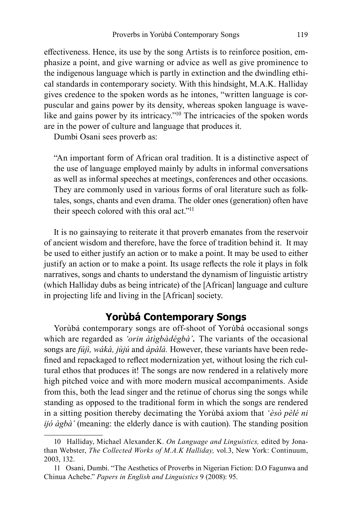effectiveness. Hence, its use by the song Artists is to reinforce position, emphasize a point, and give warning or advice as well as give prominence to the indigenous language which is partly in extinction and the dwindling ethical standards in contemporary society. With this hindsight, M.A.K. Halliday gives credence to the spoken words as he intones, "written language is corpuscular and gains power by its density, whereas spoken language is wavelike and gains power by its intricacy."<sup>10</sup> The intricacies of the spoken words are in the power of culture and language that produces it.

Dumbi Osani sees proverb as:

"An important form of African oral tradition. It is a distinctive aspect of the use of language employed mainly by adults in informal conversations as well as informal speeches at meetings, conferences and other occasions. They are commonly used in various forms of oral literature such as folktales, songs, chants and even drama. The older ones (generation) often have their speech colored with this oral act."<sup>11</sup>

It is no gainsaying to reiterate it that proverb emanates from the reservoir of ancient wisdom and therefore, have the force of tradition behind it. It may be used to either justify an action or to make a point. It may be used to either justify an action or to make a point. Its usage reflects the role it plays in folk narratives, songs and chants to understand the dynamism of linguistic artistry (which Halliday dubs as being intricate) of the [African] language and culture in projecting life and living in the [African] society.

# **Yorùbá Contemporary Songs**

Yorùbá contemporary songs are off-shoot of Yorùbá occasional songs which are regarded as *'orin àtìgbàdégbà'*. The variants of the occasional songs are *fújì, wákà, jùjú* and *àpàlà.* However, these variants have been redefined and repackaged to reflect modernization yet, without losing the rich cultural ethos that produces it! The songs are now rendered in a relatively more high pitched voice and with more modern musical accompaniments. Aside from this, both the lead singer and the retinue of chorus sing the songs while standing as opposed to the traditional form in which the songs are rendered in a sitting position thereby decimating the Yorùbá axiom that *'èsò pèlé ni ijó àgbà'* (meaning: the elderly dance is with caution). The standing position

<sup>10</sup> Halliday, Michael Alexander.K. *On Language and Linguistics,* edited by Jonathan Webster, *The Collected Works of M.A.K Halliday,* vol.3, New York: Continuum, 2003, 132.

<sup>11</sup> Osani, Dumbi. "The Aesthetics of Proverbs in Nigerian Fiction: D.O Fagunwa and Chinua Achebe." *Papers in English and Linguistics* 9 (2008): 95.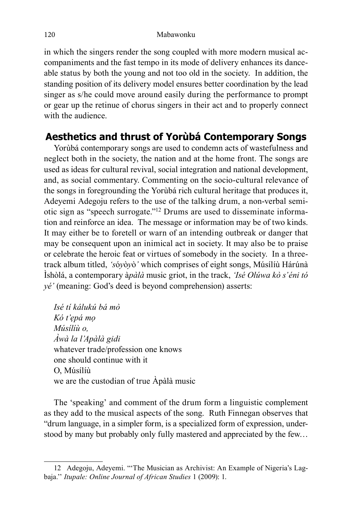in which the singers render the song coupled with more modern musical accompaniments and the fast tempo in its mode of delivery enhances its danceable status by both the young and not too old in the society. In addition, the standing position of its delivery model ensures better coordination by the lead singer as s/he could move around easily during the performance to prompt or gear up the retinue of chorus singers in their act and to properly connect with the audience.

# **Aesthetics and thrust of Yorùbá Contemporary Songs**

Yorùbá contemporary songs are used to condemn acts of wastefulness and neglect both in the society, the nation and at the home front. The songs are used as ideas for cultural revival, social integration and national development, and, as social commentary. Commenting on the socio-cultural relevance of the songs in foregrounding the Yorùbá rich cultural heritage that produces it, Adeyemi Adegoju refers to the use of the talking drum, a non-verbal semiotic sign as "speech surrogate."12 Drums are used to disseminate information and reinforce an idea. The message or information may be of two kinds. It may either be to foretell or warn of an intending outbreak or danger that may be consequent upon an inimical act in society. It may also be to praise or celebrate the heroic feat or virtues of somebody in the society. In a threetrack album titled, *'s*ó*y*ò*y*ò*'* which comprises of eight songs, Músílíù Hárúnà Ìshòlá, a contemporary à*pàlà* music griot, in the track, *'Isé Olúwa kò s'éni tó yé'* (meaning: God's deed is beyond comprehension) asserts:

*Isé tí kálukú bá mò Kó t'ẹpá mọ Músílíù o, Àwà la l'Apàlà gidi* whatever trade/profession one knows one should continue with it O, Músílíù we are the custodian of true Àpàlà music

The 'speaking' and comment of the drum form a linguistic complement as they add to the musical aspects of the song. Ruth Finnegan observes that "drum language, in a simpler form, is a specialized form of expression, understood by many but probably only fully mastered and appreciated by the few…

<sup>12</sup> Adegoju, Adeyemi. "'The Musician as Archivist: An Example of Nigeria's Lagbaja.'' *Itupale: Online Journal of African Studies* 1 (2009): 1.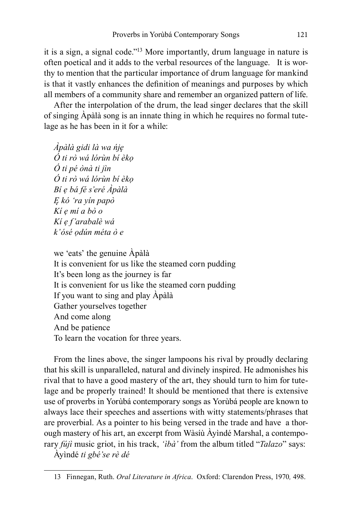it is a sign, a signal code."13 More importantly, drum language in nature is often poetical and it adds to the verbal resources of the language. It is worthy to mention that the particular importance of drum language for mankind is that it vastly enhances the definition of meanings and purposes by which all members of a community share and remember an organized pattern of life.

After the interpolation of the drum, the lead singer declares that the skill of singing Àpàlà song is an innate thing in which he requires no formal tutelage as he has been in it for a while:

*Àpàlà gidi là wa ńję Ó ti rò wá lórùn bí èkọ Ó ti pé ònà ti jìn Ó ti rò wá lórùn bí èkọ Bí ẹ bá fé s'eré Àpàlà Ę kó 'ra yín papò Kí ẹ mí a bò o Kí ẹ f'arabalè wá k'ósé ọdún méta ò e*

we 'eats' the genuine Àpàlà It is convenient for us like the steamed corn pudding It's been long as the journey is far It is convenient for us like the steamed corn pudding If you want to sing and play Àpàlà Gather yourselves together And come along And be patience To learn the vocation for three years.

From the lines above, the singer lampoons his rival by proudly declaring that his skill is unparalleled, natural and divinely inspired. He admonishes his rival that to have a good mastery of the art, they should turn to him for tutelage and be properly trained! It should be mentioned that there is extensive use of proverbs in Yorùbá contemporary songs as Yorùbá people are known to always lace their speeches and assertions with witty statements/phrases that are proverbial. As a pointer to his being versed in the trade and have a thorough mastery of his art, an excerpt from Wàsíù Àyìndé Marshal, a contemporary *fújì* music griot, in his track, *'ìbà'* from the album titled "*Talazo*" says:

Àyìndé *ti gbé'se rè dé*

<sup>13</sup> Finnegan, Ruth. *Oral Literature in Africa*. Oxford: Clarendon Press, 1970*,* 498.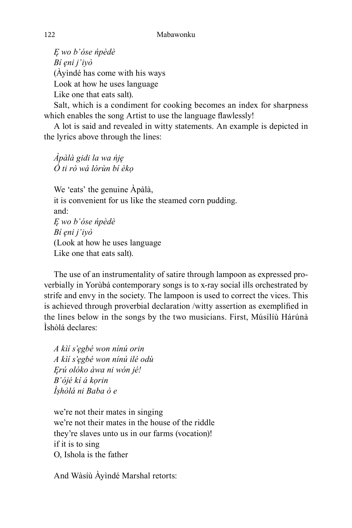*Ę wo b'óse ńpèdè Bí ęni j'iyò* (Àyìndé has come with his ways Look at how he uses language Like one that eats salt).

Salt, which is a condiment for cooking becomes an index for sharpness which enables the song Artist to use the language flawlessly!

A lot is said and revealed in witty statements. An example is depicted in the lyrics above through the lines:

*Àpàlà gidi la wa ńję Ó ti rò wá lórùn bí èkọ*

We 'eats' the genuine Àpàlà, it is convenient for us like the steamed corn pudding. and: *Ę wo b'óse ńpèdè Bí ęni j'iyò* (Look at how he uses language Like one that eats salt).

The use of an instrumentality of satire through lampoon as expressed proverbially in Yorùbá contemporary songs is to x-ray social ills orchestrated by strife and envy in the society. The lampoon is used to correct the vices. This is achieved through proverbial declaration /witty assertion as exemplified in the lines below in the songs by the two musicians. First, Músílíù Hárúnà Ìshòlá declares:

*A kìí s'ęgbé won nínú orin A kìí s'ęgbé won nínú ilé odù Ęrú olóko àwa ni wón jé! B'ójé kí á kọrin Ìṣhòlá ni Baba ò e*

we're not their mates in singing we're not their mates in the house of the riddle they're slaves unto us in our farms (vocation)! if it is to sing O, Ishola is the father

And Wàsíù Àyìndé Marshal retorts: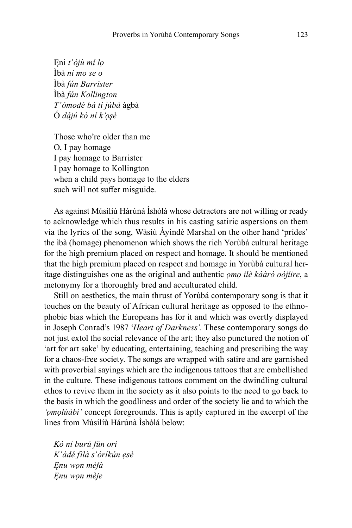Ęni *t'ójù mí lọ* Ìbà *ni mo se o* Ìbà *fún Barrister* Ìbà *fún Kollington T'ómodé bá ti júbà* àgbà Ó *dájú kò ní k'ọşè*

Those who're older than me O, I pay homage I pay homage to Barrister I pay homage to Kollington when a child pays homage to the elders such will not suffer misguide.

As against Músílíù Hárúnà Ìshòlá whose detractors are not willing or ready to acknowledge which thus results in his casting satiric aspersions on them via the lyrics of the song, Wàsíù Àyìndé Marshal on the other hand 'prides' the ìbà (homage) phenomenon which shows the rich Yorùbá cultural heritage for the high premium placed on respect and homage. It should be mentioned that the high premium placed on respect and homage in Yorùbá cultural heritage distinguishes one as the original and authentic *ọmọ ilè káàró oòjíire*, a metonymy for a thoroughly bred and acculturated child.

Still on aesthetics, the main thrust of Yorùbá contemporary song is that it touches on the beauty of African cultural heritage as opposed to the ethnophobic bias which the Europeans has for it and which was overtly displayed in Joseph Conrad's 1987 '*Heart of Darkness'.* These contemporary songs do not just extol the social relevance of the art; they also punctured the notion of 'art for art sake' by educating, entertaining, teaching and prescribing the way for a chaos-free society. The songs are wrapped with satire and are garnished with proverbial sayings which are the indigenous tattoos that are embellished in the culture. These indigenous tattoos comment on the dwindling cultural ethos to revive them in the society as it also points to the need to go back to the basis in which the goodliness and order of the society lie and to which the *'ọmọlúàbí'* concept foregrounds. This is aptly captured in the excerpt of the lines from Músílíù Hárúnà Ìshòlá below:

*Kò ní burú fún orí K'ádé fìlà s'óríkún ẹsè Ęnu wọn mèfà Ęnu wọn mèje*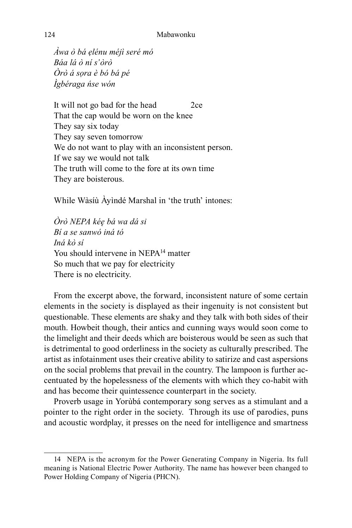*Àwa ò bá ẹlénu méjì seré mó Báa lá ò ní s'òrò Òrò á sọra è bó bá pé Ìgbéraga ńse wón*

It will not go bad for the head 2ce That the cap would be worn on the knee They say six today They say seven tomorrow We do not want to play with an inconsistent person. If we say we would not talk The truth will come to the fore at its own time They are boisterous.

While Wàsíù Àyìndé Marshal in 'the truth' intones:

*Òrò NEPA kéę bá wa dá si Bí a se sanwó iná tó Iná kò sí* You should intervene in NEPA<sup>14</sup> matter So much that we pay for electricity There is no electricity.

From the excerpt above, the forward, inconsistent nature of some certain elements in the society is displayed as their ingenuity is not consistent but questionable. These elements are shaky and they talk with both sides of their mouth. Howbeit though, their antics and cunning ways would soon come to the limelight and their deeds which are boisterous would be seen as such that is detrimental to good orderliness in the society as culturally prescribed. The artist as infotainment uses their creative ability to satirize and cast aspersions on the social problems that prevail in the country. The lampoon is further accentuated by the hopelessness of the elements with which they co-habit with and has become their quintessence counterpart in the society.

Proverb usage in Yorùbá contemporary song serves as a stimulant and a pointer to the right order in the society. Through its use of parodies, puns and acoustic wordplay, it presses on the need for intelligence and smartness

<sup>14</sup> NEPA is the acronym for the Power Generating Company in Nigeria. Its full meaning is National Electric Power Authority. The name has however been changed to Power Holding Company of Nigeria (PHCN).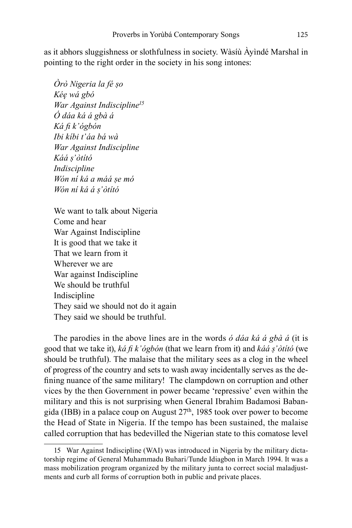as it abhors sluggishness or slothfulness in society. Wàsíù Àyìndé Marshal in pointing to the right order in the society in his song intones:

*Òrò Nigeria la fé ṣo Kéę wá gbó War Against Indiscipline<sup>15</sup> Ó dáa ká á gbà á Ká fi k'ógbón Ibi kíbi t'áa bá wà War Against Indiscipline Káá ṣ'òtító Indiscipline Wón ní ká a máá ṣe mó Wón ní ká á ṣ'òtító*

We want to talk about Nigeria Come and hear War Against Indiscipline It is good that we take it That we learn from it Wherever we are War against Indiscipline We should be truthful Indiscipline They said we should not do it again They said we should be truthful.

The parodies in the above lines are in the words *ó dáa ká á gbà á* (it is good that we take it), *ká fi k'ógbón* (that we learn from it) and *káá ṣ'òtító* (we should be truthful). The malaise that the military sees as a clog in the wheel of progress of the country and sets to wash away incidentally serves as the defining nuance of the same military! The clampdown on corruption and other vices by the then Government in power became 'repressive' even within the military and this is not surprising when General Ibrahim Badamosi Babangida (IBB) in a palace coup on August  $27<sup>th</sup>$ , 1985 took over power to become the Head of State in Nigeria. If the tempo has been sustained, the malaise called corruption that has bedevilled the Nigerian state to this comatose level

<sup>15</sup> War Against Indiscipline (WAI) was introduced in Nigeria by the military dictatorship regime of General Muhammadu Buhari/Tunde Idiagbon in March 1994. It was a mass mobilization program organized by the military junta to correct social maladjustments and curb all forms of corruption both in public and private places.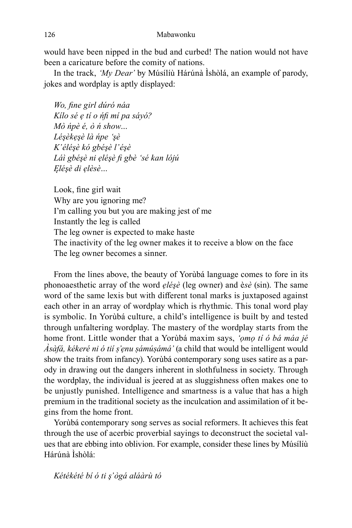would have been nipped in the bud and curbed! The nation would not have been a caricature before the comity of nations.

In the track, *'My Dear'* by Músílíù Hárúnà Ìshòlá, an example of parody, jokes and wordplay is aptly displayed:

*Wo, fine girl dúró náa Kílo sé ẹ tí o ńfi mí pa sáyó? Mò ńpè é, ò ń show… Léşèkẹşè là ńpe 'şè K'éléşè kó gbéşè l'éşè Láì gbéşè ni ẹléşè fi gbè 'sé kan lójú Ęléşè di ẹlèsè…*

Look, fine girl wait Why are you ignoring me? I'm calling you but you are making jest of me Instantly the leg is called The leg owner is expected to make haste The inactivity of the leg owner makes it to receive a blow on the face The leg owner becomes a sinner.

From the lines above, the beauty of Yorùbá language comes to fore in its phonoaesthetic array of the word *ẹléşè* (leg owner) and è*sè* (sin). The same word of the same lexis but with different tonal marks is juxtaposed against each other in an array of wordplay which is rhythmic. This tonal word play is symbolic. In Yorùbá culture, a child's intelligence is built by and tested through unfaltering wordplay. The mastery of the wordplay starts from the home front. Little wonder that a Yorùbá maxim says, *'ọmọ tí ó bá máa jé Àsàfá, kékeré ni ó tií ṣ'ẹnu ṣámúṣámá'* (a child that would be intelligent would show the traits from infancy). Yorùbá contemporary song uses satire as a parody in drawing out the dangers inherent in slothfulness in society. Through the wordplay, the individual is jeered at as sluggishness often makes one to be unjustly punished. Intelligence and smartness is a value that has a high premium in the traditional society as the inculcation and assimilation of it begins from the home front.

Yorùbá contemporary song serves as social reformers. It achieves this feat through the use of acerbic proverbial sayings to deconstruct the societal values that are ebbing into oblivion. For example, consider these lines by Músílíù Hárúnà Ìshòlá:

*Kétékété bí ó ti ş'ògá aláàrù tó*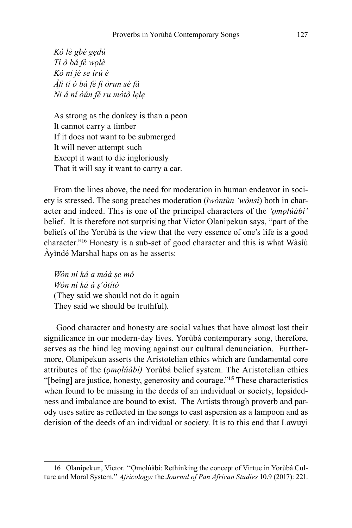*Kò lè gbé gẹdú Tí ò bá fé wọlè Kò ní jé se irú è Àfi tí ó bá fé fi òrun sè fà Ni á ní òún fé ru mótò lẹlẹ* 

As strong as the donkey is than a peon It cannot carry a timber If it does not want to be submerged It will never attempt such Except it want to die ingloriously That it will say it want to carry a car.

From the lines above, the need for moderation in human endeavor in society is stressed. The song preaches moderation (*ìwòntùn 'wònsì*) both in character and indeed. This is one of the principal characters of the *'ọmọlúàbí'*  belief. It is therefore not surprising that Victor Olanipekun says, "part of the beliefs of the Yorùbá is the view that the very essence of one's life is a good character."16 Honesty is a sub-set of good character and this is what Wàsíù Àyìndé Marshal haps on as he asserts:

*Wón ní ká a máá ṣe mó Wón ní ká á ṣ'òtító* (They said we should not do it again They said we should be truthful).

 Good character and honesty are social values that have almost lost their significance in our modern-day lives. Yorùbá contemporary song, therefore, serves as the hind leg moving against our cultural denunciation. Furthermore, Olanipekun asserts the Aristotelian ethics which are fundamental core attributes of the (*ọmọlúàbí)* Yorùbá belief system. The Aristotelian ethics "[being] are justice, honesty, generosity and courage."**<sup>15</sup>** These characteristics when found to be missing in the deeds of an individual or society, lopsidedness and imbalance are bound to exist. The Artists through proverb and parody uses satire as reflected in the songs to cast aspersion as a lampoon and as derision of the deeds of an individual or society. It is to this end that Lawuyi

<sup>16</sup> Olanipekun, Victor. ''Ọmọlúàbí: Rethinking the concept of Virtue in Yorùbá Culture and Moral System.'' *Africology:* the *Journal of Pan African Studies* 10.9 (2017): 221.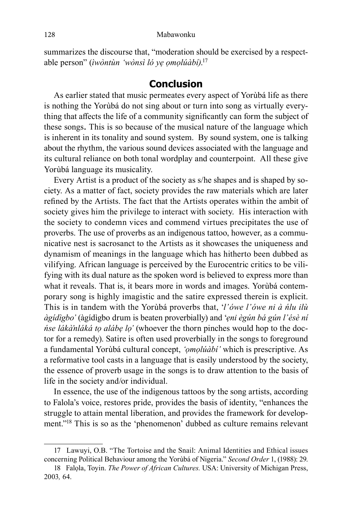summarizes the discourse that, "moderation should be exercised by a respectable person" (*ìwòntùn 'wònsì ló yẹ ọmọlúàbí)*. 17

#### **Conclusion**

As earlier stated that music permeates every aspect of Yorùbá life as there is nothing the Yorùbá do not sing about or turn into song as virtually everything that affects the life of a community significantly can form the subject of these songs. This is so because of the musical nature of the language which is inherent in its tonality and sound system. By sound system, one is talking about the rhythm, the various sound devices associated with the language and its cultural reliance on both tonal wordplay and counterpoint. All these give Yorùbá language its musicality.

Every Artist is a product of the society as s/he shapes and is shaped by society. As a matter of fact, society provides the raw materials which are later refined by the Artists. The fact that the Artists operates within the ambit of society gives him the privilege to interact with society. His interaction with the society to condemn vices and commend virtues precipitates the use of proverbs. The use of proverbs as an indigenous tattoo, however, as a communicative nest is sacrosanct to the Artists as it showcases the uniqueness and dynamism of meanings in the language which has hitherto been dubbed as vilifying. African language is perceived by the Eurocentric critics to be vilifying with its dual nature as the spoken word is believed to express more than what it reveals. That is, it bears more in words and images. Yorùbá contemporary song is highly imagistic and the satire expressed therein is explicit. This is in tandem with the Yorùbá proverbs that, '*l'ówe l'ówe ni à ńlu ilù àgídìgbo'* (àgídìgbo drum is beaten proverbially) and '*ẹni ègún bá gún l'ésè ní ńse lákà'nláká tọ alábẹ lọ'* (whoever the thorn pinches would hop to the doctor for a remedy). Satire is often used proverbially in the songs to foreground a fundamental Yorùbá cultural concept, *'ọmọlúàbí'* which is prescriptive. As a reformative tool casts in a language that is easily understood by the society, the essence of proverb usage in the songs is to draw attention to the basis of life in the society and/or individual.

In essence, the use of the indigenous tattoos by the song artists, according to Falola's voice, restores pride, provides the basis of identity, "enhances the struggle to attain mental liberation, and provides the framework for development."18 This is so as the 'phenomenon' dubbed as culture remains relevant

<sup>17</sup> Lawuyi, O.B. "The Tortoise and the Snail: Animal Identities and Ethical issues concerning Political Behaviour among the Yorùbá of Nigeria." *Second Order* 1, (1988): 29.

<sup>18</sup> Falọla, Toyin. *The Power of African Cultures.* USA: University of Michigan Press, 2003*,* 64.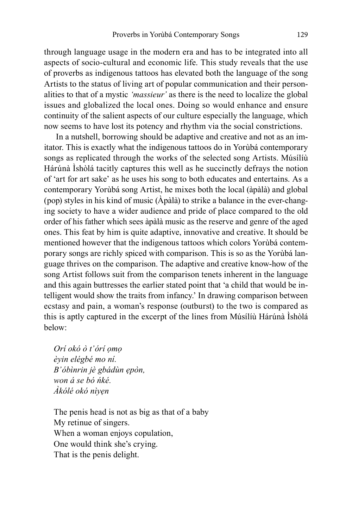through language usage in the modern era and has to be integrated into all aspects of socio-cultural and economic life. This study reveals that the use of proverbs as indigenous tattoos has elevated both the language of the song Artists to the status of living art of popular communication and their personalities to that of a mystic *'massieur'* as there is the need to localize the global issues and globalized the local ones. Doing so would enhance and ensure continuity of the salient aspects of our culture especially the language, which now seems to have lost its potency and rhythm via the social constrictions.

 In a nutshell, borrowing should be adaptive and creative and not as an imitator. This is exactly what the indigenous tattoos do in Yorùbá contemporary songs as replicated through the works of the selected song Artists. Músílíù Hárúnà Ìshòlá tacitly captures this well as he succinctly defrays the notion of 'art for art sake' as he uses his song to both educates and entertains. As a contemporary Yorùbá song Artist, he mixes both the local (àpàlà) and global (pop) styles in his kind of music (Àpàlà) to strike a balance in the ever-changing society to have a wider audience and pride of place compared to the old order of his father which sees àpàlà music as the reserve and genre of the aged ones. This feat by him is quite adaptive, innovative and creative. It should be mentioned however that the indigenous tattoos which colors Yorùbá contemporary songs are richly spiced with comparison. This is so as the Yorùbá language thrives on the comparison. The adaptive and creative know-how of the song Artist follows suit from the comparison tenets inherent in the language and this again buttresses the earlier stated point that 'a child that would be intelligent would show the traits from infancy.' In drawing comparison between ecstasy and pain, a woman's response (outburst) to the two is compared as this is aptly captured in the excerpt of the lines from Músílíù Hárúnà Ìshòlá below:

*Orí okó ò t'órí ọmọ èyin elégbé mo ní. B'óbìnrin jè gbádùn ẹpòn, won á se bó ńké. Àkólé okó nìyẹn*

The penis head is not as big as that of a baby My retinue of singers. When a woman enjoys copulation, One would think she's crying. That is the penis delight.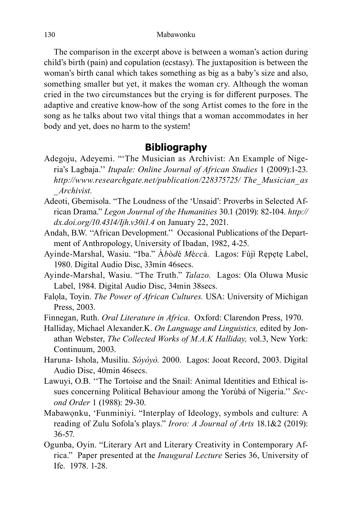The comparison in the excerpt above is between a woman's action during child's birth (pain) and copulation (ecstasy). The juxtaposition is between the woman's birth canal which takes something as big as a baby's size and also, something smaller but yet, it makes the woman cry. Although the woman cried in the two circumstances but the crying is for different purposes. The adaptive and creative know-how of the song Artist comes to the fore in the song as he talks about two vital things that a woman accommodates in her body and yet, does no harm to the system!

### **Bibliography**

- Adegoju, Adeyemi. "'The Musician as Archivist: An Example of Nigeria's Lagbaja.'' *Itupale: Online Journal of African Studies* 1 (2009):1-23. *http://www.researchgate.net/publication/228375725/ The\_Musician\_as \_Archivist.*
- Adeoti, Gbemisola. "The Loudness of the 'Unsaid': Proverbs in Selected African Drama." *Legon Journal of the Humanities* 30.1 (2019): 82-104. *http:// dx.doi.org/10.4314/Ijh.v30i1.4* on January 22, 2021.
- Andah, B.W. ''African Development.'' Occasional Publications of the Department of Anthropology, University of Ibadan, 1982, 4-25.
- Ayinde-Marshal, Wasiu. "Iba." À*b*ò*d*é *M*é*cc*à*.* Lagos: Fújì Rẹpẹtẹ Label, 1980. Digital Audio Disc, 33min 46secs.
- Ayinde-Marshal, Wasiu. "The Truth." *Talazo.* Lagos: Ola Oluwa Music Label, 1984. Digital Audio Disc, 34min 38secs.
- Falọla, Toyin. *The Power of African Cultures.* USA: University of Michigan Press, 2003.
- Finnegan, Ruth. *Oral Literature in Africa*. Oxford: Clarendon Press, 1970.
- Halliday, Michael Alexander.K. *On Language and Linguistics,* edited by Jonathan Webster, *The Collected Works of M.A.K Halliday,* vol.3, New York: Continuum, 2003.
- Haruna- Ishola, Musiliu. *Sóyòyò.* 2000. Lagos: Jooat Record, 2003. Digital Audio Disc, 40min 46secs.
- Lawuyi, O.B. ''The Tortoise and the Snail: Animal Identities and Ethical issues concerning Political Behaviour among the Yorùbá of Nigeria.'' *Second Order* 1 (1988): 29-30.
- Mabawọnku, 'Funminiyi. "Interplay of Ideology, symbols and culture: A reading of Zulu Sofola's plays." *Iroro: A Journal of Arts* 18.1&2 (2019): 36-57.
- Ogunba, Oyin. "Literary Art and Literary Creativity in Contemporary Africa." Paper presented at the *Inaugural Lecture* Series 36, University of Ife. 1978. 1-28.